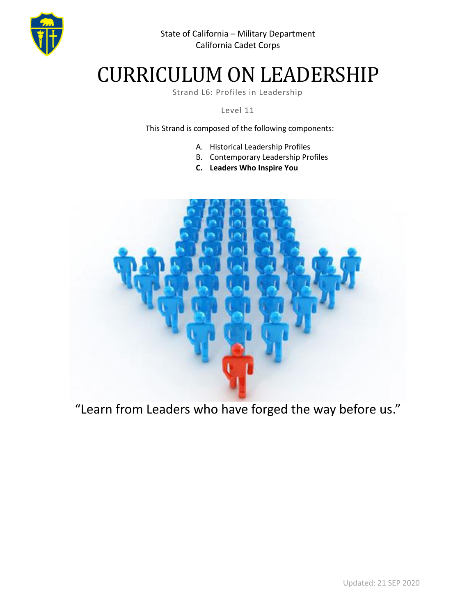

# CURRICULUM ON LEADERSHIP

Strand L6: Profiles in Leadership

Level 11

This Strand is composed of the following components:

- A. Historical Leadership Profiles
- B. Contemporary Leadership Profiles
- **C. Leaders Who Inspire You**



"Learn from Leaders who have forged the way before us."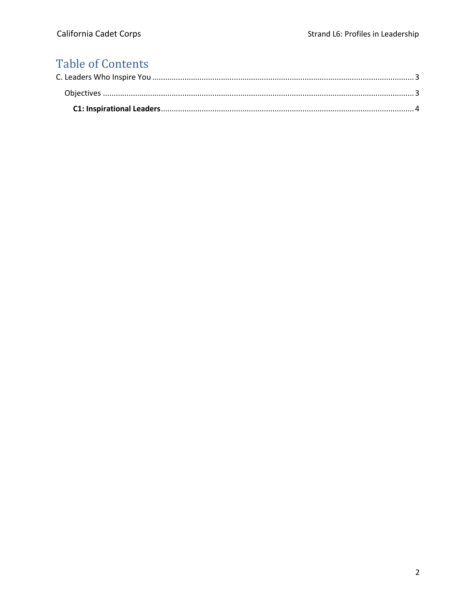## **Table of Contents**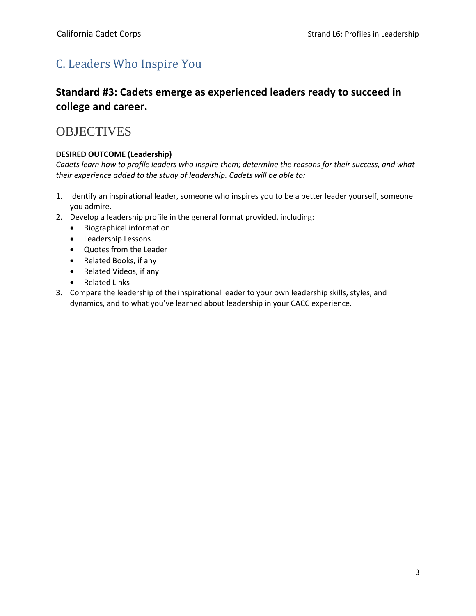### <span id="page-2-0"></span>C. Leaders Who Inspire You

### **Standard #3: Cadets emerge as experienced leaders ready to succeed in college and career.**

### <span id="page-2-1"></span>**OBJECTIVES**

#### **DESIRED OUTCOME (Leadership)**

*Cadets learn how to profile leaders who inspire them; determine the reasons for their success, and what their experience added to the study of leadership. Cadets will be able to:*

- 1. Identify an inspirational leader, someone who inspires you to be a better leader yourself, someone you admire.
- 2. Develop a leadership profile in the general format provided, including:
	- Biographical information
	- Leadership Lessons
	- Quotes from the Leader
	- Related Books, if any
	- Related Videos, if any
	- Related Links
- 3. Compare the leadership of the inspirational leader to your own leadership skills, styles, and dynamics, and to what you've learned about leadership in your CACC experience.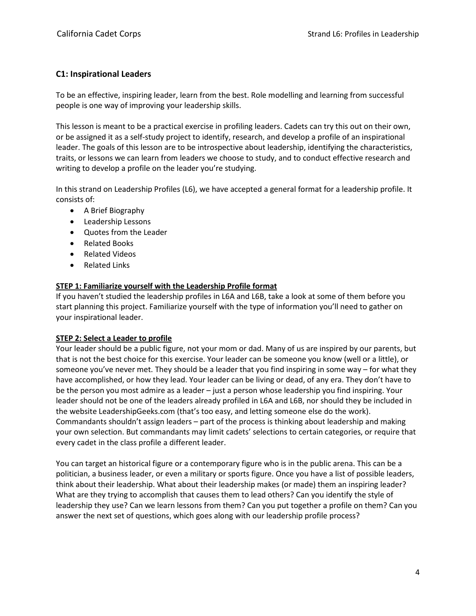#### <span id="page-3-0"></span>**C1: Inspirational Leaders**

To be an effective, inspiring leader, learn from the best. Role modelling and learning from successful people is one way of improving your leadership skills.

This lesson is meant to be a practical exercise in profiling leaders. Cadets can try this out on their own, or be assigned it as a self-study project to identify, research, and develop a profile of an inspirational leader. The goals of this lesson are to be introspective about leadership, identifying the characteristics, traits, or lessons we can learn from leaders we choose to study, and to conduct effective research and writing to develop a profile on the leader you're studying.

In this strand on Leadership Profiles (L6), we have accepted a general format for a leadership profile. It consists of:

- A Brief Biography
- Leadership Lessons
- Quotes from the Leader
- Related Books
- Related Videos
- Related Links

#### **STEP 1: Familiarize yourself with the Leadership Profile format**

If you haven't studied the leadership profiles in L6A and L6B, take a look at some of them before you start planning this project. Familiarize yourself with the type of information you'll need to gather on your inspirational leader.

#### **STEP 2: Select a Leader to profile**

Your leader should be a public figure, not your mom or dad. Many of us are inspired by our parents, but that is not the best choice for this exercise. Your leader can be someone you know (well or a little), or someone you've never met. They should be a leader that you find inspiring in some way – for what they have accomplished, or how they lead. Your leader can be living or dead, of any era. They don't have to be the person you most admire as a leader – just a person whose leadership you find inspiring. Your leader should not be one of the leaders already profiled in L6A and L6B, nor should they be included in the website LeadershipGeeks.com (that's too easy, and letting someone else do the work). Commandants shouldn't assign leaders – part of the process is thinking about leadership and making your own selection. But commandants may limit cadets' selections to certain categories, or require that every cadet in the class profile a different leader.

You can target an historical figure or a contemporary figure who is in the public arena. This can be a politician, a business leader, or even a military or sports figure. Once you have a list of possible leaders, think about their leadership. What about their leadership makes (or made) them an inspiring leader? What are they trying to accomplish that causes them to lead others? Can you identify the style of leadership they use? Can we learn lessons from them? Can you put together a profile on them? Can you answer the next set of questions, which goes along with our leadership profile process?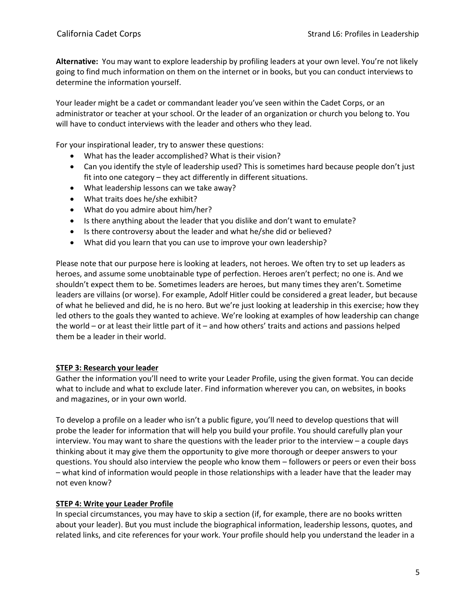**Alternative:** You may want to explore leadership by profiling leaders at your own level. You're not likely going to find much information on them on the internet or in books, but you can conduct interviews to determine the information yourself.

Your leader might be a cadet or commandant leader you've seen within the Cadet Corps, or an administrator or teacher at your school. Or the leader of an organization or church you belong to. You will have to conduct interviews with the leader and others who they lead.

For your inspirational leader, try to answer these questions:

- What has the leader accomplished? What is their vision?
- Can you identify the style of leadership used? This is sometimes hard because people don't just fit into one category – they act differently in different situations.
- What leadership lessons can we take away?
- What traits does he/she exhibit?
- What do you admire about him/her?
- Is there anything about the leader that you dislike and don't want to emulate?
- Is there controversy about the leader and what he/she did or believed?
- What did you learn that you can use to improve your own leadership?

Please note that our purpose here is looking at leaders, not heroes. We often try to set up leaders as heroes, and assume some unobtainable type of perfection. Heroes aren't perfect; no one is. And we shouldn't expect them to be. Sometimes leaders are heroes, but many times they aren't. Sometime leaders are villains (or worse). For example, Adolf Hitler could be considered a great leader, but because of what he believed and did, he is no hero. But we're just looking at leadership in this exercise; how they led others to the goals they wanted to achieve. We're looking at examples of how leadership can change the world – or at least their little part of it – and how others' traits and actions and passions helped them be a leader in their world.

#### **STEP 3: Research your leader**

Gather the information you'll need to write your Leader Profile, using the given format. You can decide what to include and what to exclude later. Find information wherever you can, on websites, in books and magazines, or in your own world.

To develop a profile on a leader who isn't a public figure, you'll need to develop questions that will probe the leader for information that will help you build your profile. You should carefully plan your interview. You may want to share the questions with the leader prior to the interview – a couple days thinking about it may give them the opportunity to give more thorough or deeper answers to your questions. You should also interview the people who know them – followers or peers or even their boss – what kind of information would people in those relationships with a leader have that the leader may not even know?

#### **STEP 4: Write your Leader Profile**

In special circumstances, you may have to skip a section (if, for example, there are no books written about your leader). But you must include the biographical information, leadership lessons, quotes, and related links, and cite references for your work. Your profile should help you understand the leader in a